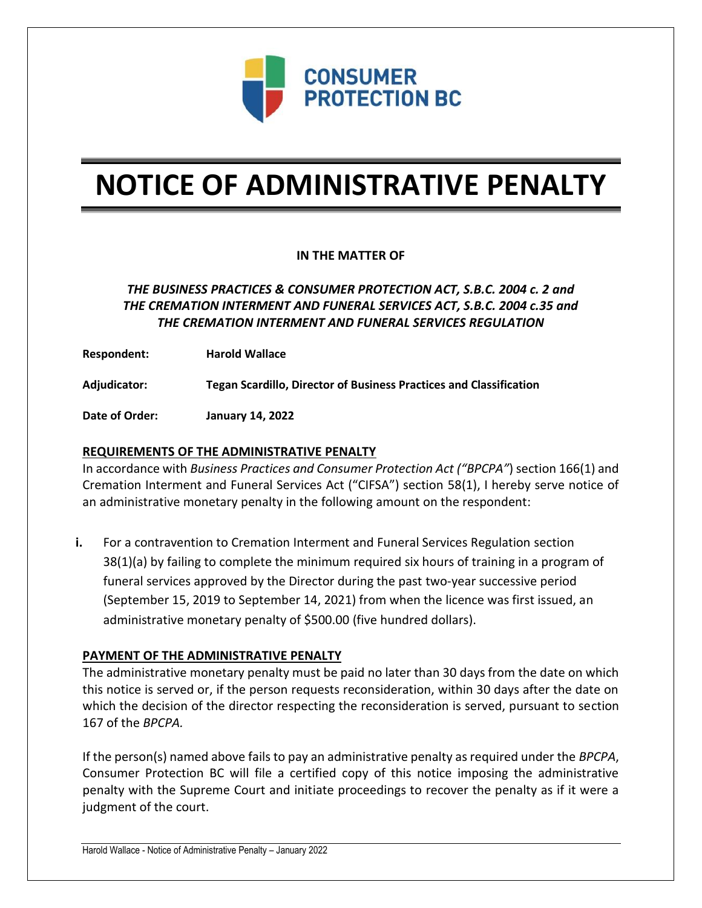

# **NOTICE OF ADMINISTRATIVE PENALTY**

## **IN THE MATTER OF**

# *THE BUSINESS PRACTICES & CONSUMER PROTECTION ACT, S.B.C. 2004 c. 2 and THE CREMATION INTERMENT AND FUNERAL SERVICES ACT, S.B.C. 2004 c.35 and THE CREMATION INTERMENT AND FUNERAL SERVICES REGULATION*

**Respondent: Harold Wallace**

**Adjudicator: Tegan Scardillo, Director of Business Practices and Classification**

**Date of Order: January 14, 2022**

### **REQUIREMENTS OF THE ADMINISTRATIVE PENALTY**

In accordance with *Business Practices and Consumer Protection Act ("BPCPA"*) section 166(1) and Cremation Interment and Funeral Services Act ("CIFSA") section 58(1), I hereby serve notice of an administrative monetary penalty in the following amount on the respondent:

**i.** For a contravention to Cremation Interment and Funeral Services Regulation section 38(1)(a) by failing to complete the minimum required six hours of training in a program of funeral services approved by the Director during the past two-year successive period (September 15, 2019 to September 14, 2021) from when the licence was first issued, an administrative monetary penalty of \$500.00 (five hundred dollars).

#### **PAYMENT OF THE ADMINISTRATIVE PENALTY**

The administrative monetary penalty must be paid no later than 30 days from the date on which this notice is served or, if the person requests reconsideration, within 30 days after the date on which the decision of the director respecting the reconsideration is served, pursuant to section 167 of the *BPCPA.* 

If the person(s) named above fails to pay an administrative penalty as required under the *BPCPA*, Consumer Protection BC will file a certified copy of this notice imposing the administrative penalty with the Supreme Court and initiate proceedings to recover the penalty as if it were a judgment of the court.